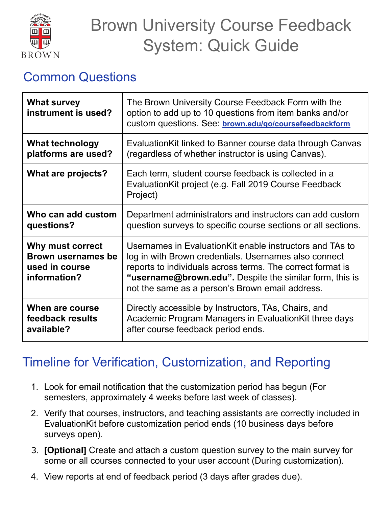

# Brown University Course Feedback System: Quick Guide

#### Common Questions

| <b>What survey</b><br>instrument is used?                                       | The Brown University Course Feedback Form with the<br>option to add up to 10 questions from item banks and/or<br>custom questions. See: brown.edu/go/coursefeedbackform                                                                                                                        |
|---------------------------------------------------------------------------------|------------------------------------------------------------------------------------------------------------------------------------------------------------------------------------------------------------------------------------------------------------------------------------------------|
| <b>What technology</b>                                                          | Evaluation Kit linked to Banner course data through Canvas                                                                                                                                                                                                                                     |
| platforms are used?                                                             | (regardless of whether instructor is using Canvas).                                                                                                                                                                                                                                            |
| What are projects?                                                              | Each term, student course feedback is collected in a<br>Evaluation Kit project (e.g. Fall 2019 Course Feedback<br>Project)                                                                                                                                                                     |
| Who can add custom                                                              | Department administrators and instructors can add custom                                                                                                                                                                                                                                       |
| questions?                                                                      | question surveys to specific course sections or all sections.                                                                                                                                                                                                                                  |
| Why must correct<br><b>Brown usernames be</b><br>used in course<br>information? | Usernames in Evaluation Kit enable instructors and TAs to<br>log in with Brown credentials. Usernames also connect<br>reports to individuals across terms. The correct format is<br>"username@brown.edu". Despite the similar form, this is<br>not the same as a person's Brown email address. |
| When are course                                                                 | Directly accessible by Instructors, TAs, Chairs, and                                                                                                                                                                                                                                           |
| feedback results                                                                | Academic Program Managers in Evaluation Kit three days                                                                                                                                                                                                                                         |
| available?                                                                      | after course feedback period ends.                                                                                                                                                                                                                                                             |

## Timeline for Verification, Customization, and Reporting

- 1. Look for email notification that the customization period has begun (For semesters, approximately 4 weeks before last week of classes).
- 2. Verify that courses, instructors, and teaching assistants are correctly included in EvaluationKit before customization period ends (10 business days before surveys open).
- 3. **[Optional]** Create and attach a custom question survey to the main survey for some or all courses connected to your user account (During customization).
- 4. View reports at end of feedback period (3 days after grades due).